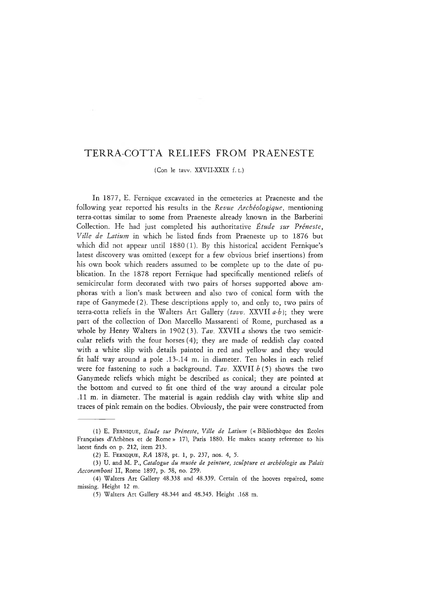## TERRA COTTA RELIEFS FROM PRAENESTE

(Con le taw. XXVII-XXIX f. t.)

In 1877, E. Fernique excavated in the cemeteries at Praeneste and the following year reported his results in the *Revue Archéologique,* mentioning terra-cottas similar to some from Praeneste already known in the Barberini Collection. He had just completed his authoritative *Étude sur Préneste, Ville de Latium* in which he listed finds from Praeneste up to 1876 but which did not appear until 1880(1). By this historical accident Fernique's latest discovery was omitted (except for a few obvious brief insertions) from his own book which readers assumed to be complete up to the date of publication. In the 1878 report Fernique had specifically mentioned reliefs of semicircular form decorated with two pairs of horses supported above amphoras with a lion's mask between and also two of conical form with the rape of Ganymede (2). These descriptions apply to, and only to, two pairs of terra-cotta reliefs in the Walters Art Gallery *(taw.* XXVII *a-b]·,* they were part of the collection of Don Marcello Massarenti of Rome, purchased as a whole by Henry Walters in 1902 (3). *Tav.* XXVII *a* shows the two semicircular reliefs with the four horses (4); they are made of reddish clay coated with a white slip with details painted in red and yellow and they would fit half way around a pole .13-,14 m. in diameter. Ten holes in each relief were for fastening to such a background. *Tav.* XXVII *b* (5) shows the two Ganymede reliefs which might be described as conical; they are pointed at the bottom and curved to fit one third of the way around a circular pole .11 m. in diameter. The material is again reddish clay with white slip and traces of pink remain on the bodies. Obviously, the pair were constructed from

<sup>(1)</sup> E. FERNIQUE, Étude sur Préneste, Ville de Latium (« Bibliothèque des Écoles Françaises d'Athènes et de Rome » 171, Paris 1880. He makes scanty reference to his latest finds on p. 212, item 213.

<sup>(2)</sup> E. FERNIQUE, RA 1878, pt. 1, p. 237, nos. 4, 5.

<sup>(3)</sup> U. and M. P., *Catalogue du musée de peinture, sculpture et archéologie au Palais Accoramboni* II, Rome 1897, p. 58, no. 259.

<sup>(4)</sup> Walters Art Gallery 48.338 and 48.339. Certain of the hooves repaired, some missing. Height 12 m.

<sup>(5)</sup> Walters Art Gallery 48.344 and 48.345. Height .168 m.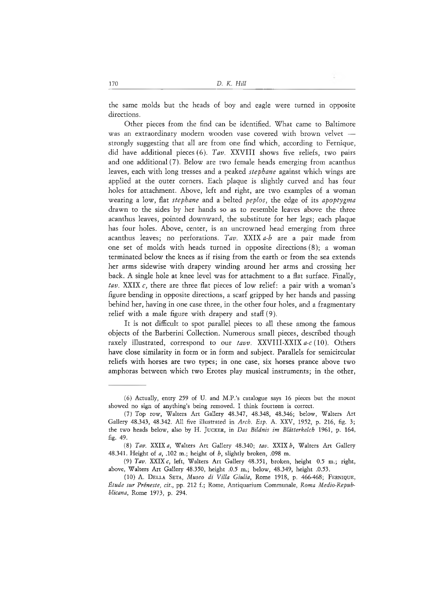the same molds but the heads of boy and eagle were turned in opposite directions.

Other pieces from the find can be identified. What came to Baltimore was an extraordinary modern wooden vase covered with brown velvet strongly suggesting that all are from one find which, according to Fernique, did have additional pieces (6). *Tav.* XXVIII shows five reliefs, two pairs and one additional (7). Below are two female heads emerging from acanthus leaves, each with long tresses and a peaked *Stephane* against which wings are applied at the outer corners. Each plaque is slightly curved and has four holes for attachment. Above, left and right, are two examples of a woman wearing a low, flat *Stephane* and a belted *peplos,* the edge of its *apoptygma* drawn to the sides by her hands so as to resemble leaves above the three acanthus leaves, pointed downward, the substitute for her legs; each plaque has four holes. Above, center, is an uncrowned head emerging from three acanthus leaves; no perforations. *Tav.* XXIX *a-b* are a pair made from one set of molds with heads turned in opposite directions (8); a woman terminated below the knees as if rising from the earth or from the sea extends her arms sidewise with drapery winding around her arms and crossing her back. A single hole at knee level was for attachment to a flat surface. Finally, *tav.* XXIX *c,* there are three flat pieces of low relief: a pair with a woman's figure bending in opposite directions, a scarf gripped by her hands and passing behind her, having in one case three, in the other four holes, and a fragmentary relief with a male figure with drapery and staff (9).

It is not difficult to spot parallel pieces to all these among the famous objects of the Barberini Collection. Numerous small pieces, described though raxely illustrated, correspond to our *tavv.* XXVIII-XXIX *a-c* (10). Others have close similarity in form or in form and subject. Parallels for semicircular reliefs with horses are two types; in one case, six horses prance above two amphoras between which two Erotes play musical instruments; in the other,

<sup>(6)</sup> Actually, entry 259 of U. and M.P.'s catalogue says 16 pieces but the mount showed no sign of anything's being removed. I think fourteen is correct.

<sup>(7)</sup> Top row, Walters Art Gallery 48.347, 48.348, 48.346; below, Walters Art Gallery 48.343, 48.342. All five illustrated in *Arch. Esp. A..* XXV, 1952, p. 216, fig. 3; the two heads below, also by H. Jucker , in *Das Bildnis im Blätterkelch* 1961, p. 164, fig. 49.

<sup>(8)</sup> *Tav.* XXIX a, Walters Art Gallery 48.340; tav. XXIX b, Walters Art Gallery 48.341. Height of *a,* .102 m.; height of *b,* slightly broken, .098 m.

<sup>(9)</sup> *Ταυ.* XXIX *c,* left, Walters Art Gallery 48.351, broken, height 0.5 m.; right, above, Walters Art Gallery 48.350, height .0.5 m.; below, 48.349, height .0.53.

<sup>(10)</sup> A. DELLA SETA, *Museo di Villa Giulia*, Rome 1918, p. 466-468; FERNIQUE, *Étude sur Préneste, cit.,* pp. 212 f.; Rome, Antiquarium Communale, *Roma Medio-Repubblicana,* Rome 1973, p. 294.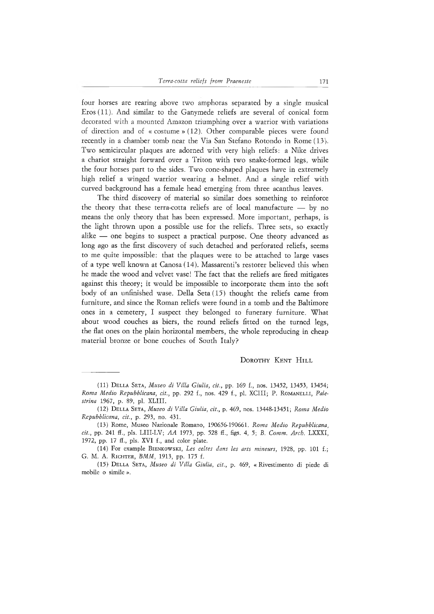four horses are rearing above two amphoras separated by a single musical Eros (11). And similar to the Ganymede reliefs are several of conical form decorated with a mounted Amazon triumphing over a warrior with variations of direction and of « costume » (12). Other comparable pieces were found recently in a chamber tomb near the Via San Stefano Rotondo in Rome (13). Two semicircular plaques are adorned with very high reliefs: a Nike drives a chariot straight forward over a Triton with two snake-formed legs, while the four horses part to the sides. Two cone-shaped plaques have in extremely high relief a winged warrior wearing a helmet. And a single relief with curved background has a female head emerging from three acanthus leaves.

The third discovery of material so similar does something to reinforce the theory that these terra-cotta reliefs are of local manufacture — by no means the only theory that has been expressed. More important, perhaps, is the light thrown upon a possible use for the reliefs. Three sets, so exactly alike — one begins to suspect a practical purpose. One theory advanced as long ago as the first discovery of such detached and perforated reliefs, seems to me quite impossible: that the plaques were to be attached to large vases of a type well known at Canosa (14). Massarenti's restorer believed this when he made the wood and velvet vase! The fact that the reliefs are fired mitigates against this theory; it would be impossible to incorporate them into the soft body of an unfinished wase. Della Seta (15) thought the reliefs came from furniture, and since the Roman reliefs were found in a tomb and the Baltimore ones in a cemetery, I suspect they belonged to funerary furniture. What about wood couches as biers, the round reliefs fitted on the turned legs, the flat ones on the plain horizontal members, the whole reproducing in cheap material bronze or bone couches of South Italy?

## DOROTHY KENT HILL

<sup>(11)</sup> Del l a Set a , *Museo di Villa Giulia, cit.,* pp. 169 f., nos. 13452, 13453, 13454; *Roma Medio Repubblicana, cit., pp. 292 f., nos. 429 f., pl. XCIII; P. ROMANELLI, Palestrina* 1967, p. 89, pl. XLIII.

<sup>(12)</sup> Del l a Set a , Afareo *di Villa Giulia, cit.,* p. 469, nos. 13448-13451; *Roma Medio Repubblicana, cit.,* p. 293, no. 431.

<sup>(13)</sup> Rome, Museo Nazionale Romano, 190656-190661. *Roma Medio Repubblicana, cit.,* pp. 241 fl., pls. LIII-LV; *AA* 1973, pp. 528 fi., figs. 4, 5; *B. Comm. Arch.* LXXXI, 1972, pp. <sup>17</sup> fi., pls. XVI f., and color plate.

<sup>(14)</sup> For example BIENKOWSKI, Les celtes dans les arts mineurs, 1928, pp. 101 f.; G. M. A. RICHTER, *BMM*, 1913, pp. 175 f.

<sup>(15)</sup> Del l a Set a , *Museo di Villa Giulia, cit.,* p. 469, « Rivestimento di piede di mobile o simile ».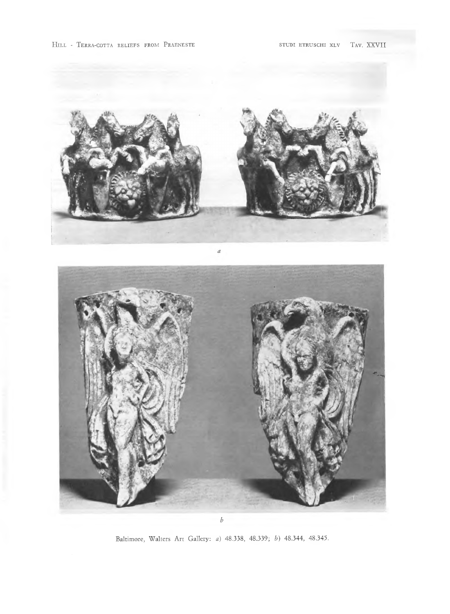

Baltimore, Walters Art Gallery: a) 48.338, 48.339; b) 48.344, 48.345.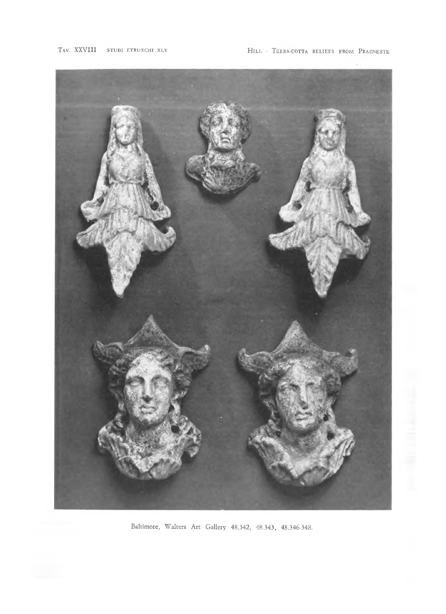

Baltimore, Walters Art Gallery 48.342, 48.343, 48.346-348.